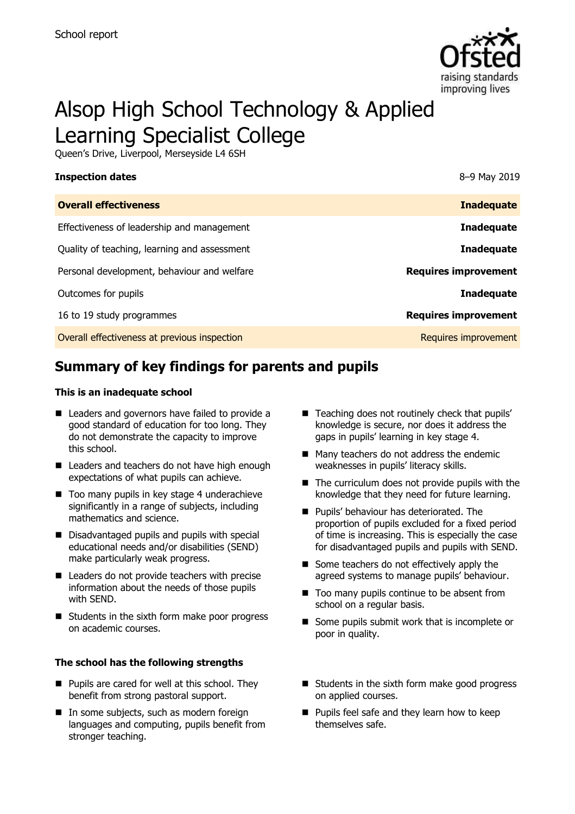

# Alsop High School Technology & Applied Learning Specialist College

Queen's Drive, Liverpool, Merseyside L4 6SH

| 8-9 May 2019                |
|-----------------------------|
| <b>Inadequate</b>           |
| <b>Inadequate</b>           |
| <b>Inadequate</b>           |
| <b>Requires improvement</b> |
| <b>Inadequate</b>           |
| <b>Requires improvement</b> |
| Requires improvement        |
|                             |

# **Summary of key findings for parents and pupils**

#### **This is an inadequate school**

- Leaders and governors have failed to provide a good standard of education for too long. They do not demonstrate the capacity to improve this school.
- Leaders and teachers do not have high enough expectations of what pupils can achieve.
- $\blacksquare$  Too many pupils in key stage 4 underachieve significantly in a range of subjects, including mathematics and science.
- Disadvantaged pupils and pupils with special educational needs and/or disabilities (SEND) make particularly weak progress.
- Leaders do not provide teachers with precise information about the needs of those pupils with SEND.
- Students in the sixth form make poor progress on academic courses.

#### **The school has the following strengths**

- $\blacksquare$  Pupils are cared for well at this school. They benefit from strong pastoral support.
- In some subjects, such as modern foreign languages and computing, pupils benefit from stronger teaching.
- Teaching does not routinely check that pupils' knowledge is secure, nor does it address the gaps in pupils' learning in key stage 4.
- Many teachers do not address the endemic weaknesses in pupils' literacy skills.
- $\blacksquare$  The curriculum does not provide pupils with the knowledge that they need for future learning.
- **Pupils' behaviour has deteriorated. The** proportion of pupils excluded for a fixed period of time is increasing. This is especially the case for disadvantaged pupils and pupils with SEND.
- Some teachers do not effectively apply the agreed systems to manage pupils' behaviour.
- Too many pupils continue to be absent from school on a regular basis.
- Some pupils submit work that is incomplete or poor in quality.
- Students in the sixth form make good progress on applied courses.
- **Pupils feel safe and they learn how to keep** themselves safe.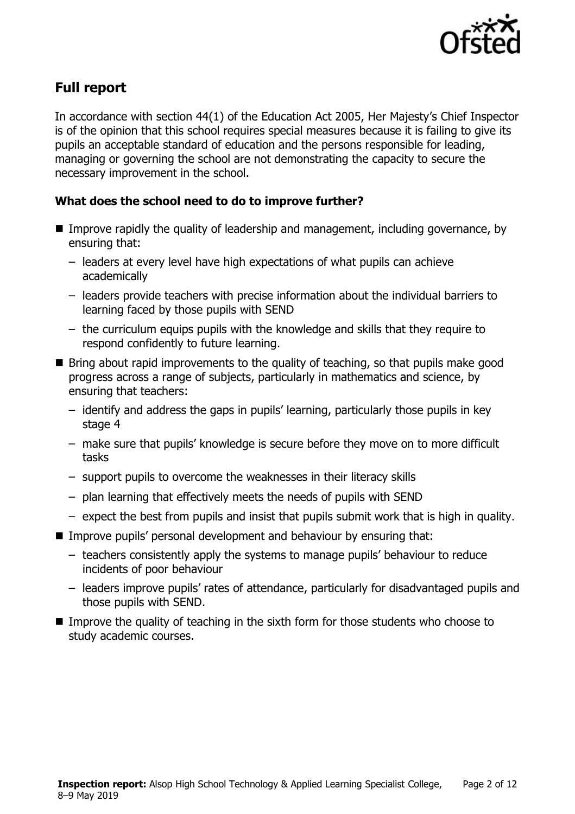

# **Full report**

In accordance with section 44(1) of the Education Act 2005, Her Majesty's Chief Inspector is of the opinion that this school requires special measures because it is failing to give its pupils an acceptable standard of education and the persons responsible for leading, managing or governing the school are not demonstrating the capacity to secure the necessary improvement in the school.

### **What does the school need to do to improve further?**

- Improve rapidly the quality of leadership and management, including governance, by ensuring that:
	- leaders at every level have high expectations of what pupils can achieve academically
	- leaders provide teachers with precise information about the individual barriers to learning faced by those pupils with SEND
	- the curriculum equips pupils with the knowledge and skills that they require to respond confidently to future learning.
- Bring about rapid improvements to the quality of teaching, so that pupils make good progress across a range of subjects, particularly in mathematics and science, by ensuring that teachers:
	- identify and address the gaps in pupils' learning, particularly those pupils in key stage 4
	- make sure that pupils' knowledge is secure before they move on to more difficult tasks
	- support pupils to overcome the weaknesses in their literacy skills
	- plan learning that effectively meets the needs of pupils with SEND
	- expect the best from pupils and insist that pupils submit work that is high in quality.
- Improve pupils' personal development and behaviour by ensuring that:
	- teachers consistently apply the systems to manage pupils' behaviour to reduce incidents of poor behaviour
	- leaders improve pupils' rates of attendance, particularly for disadvantaged pupils and those pupils with SEND.
- Improve the quality of teaching in the sixth form for those students who choose to study academic courses.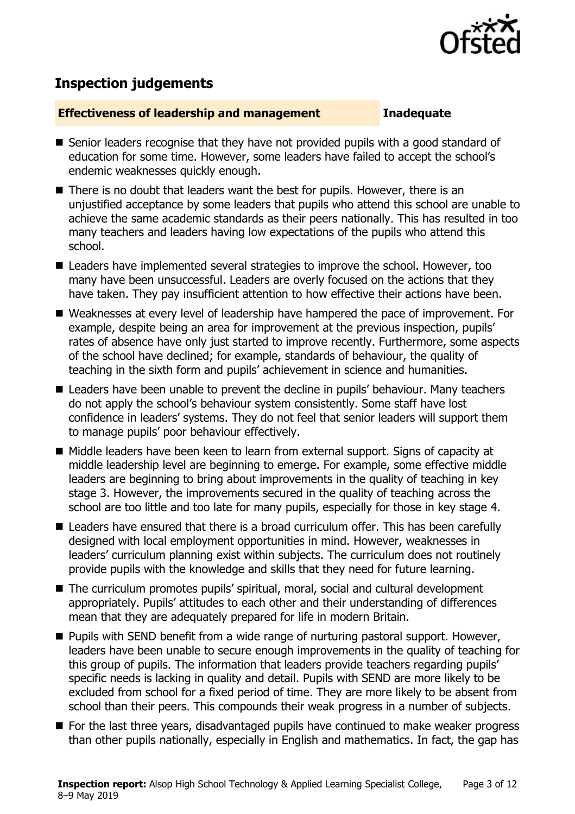

# **Inspection judgements**

#### **Effectiveness of leadership and management Inadequate**

- Senior leaders recognise that they have not provided pupils with a good standard of education for some time. However, some leaders have failed to accept the school's endemic weaknesses quickly enough.
- There is no doubt that leaders want the best for pupils. However, there is an unjustified acceptance by some leaders that pupils who attend this school are unable to achieve the same academic standards as their peers nationally. This has resulted in too many teachers and leaders having low expectations of the pupils who attend this school.
- Leaders have implemented several strategies to improve the school. However, too many have been unsuccessful. Leaders are overly focused on the actions that they have taken. They pay insufficient attention to how effective their actions have been.
- Weaknesses at every level of leadership have hampered the pace of improvement. For example, despite being an area for improvement at the previous inspection, pupils' rates of absence have only just started to improve recently. Furthermore, some aspects of the school have declined; for example, standards of behaviour, the quality of teaching in the sixth form and pupils' achievement in science and humanities.
- Leaders have been unable to prevent the decline in pupils' behaviour. Many teachers do not apply the school's behaviour system consistently. Some staff have lost confidence in leaders' systems. They do not feel that senior leaders will support them to manage pupils' poor behaviour effectively.
- Middle leaders have been keen to learn from external support. Signs of capacity at middle leadership level are beginning to emerge. For example, some effective middle leaders are beginning to bring about improvements in the quality of teaching in key stage 3. However, the improvements secured in the quality of teaching across the school are too little and too late for many pupils, especially for those in key stage 4.
- Leaders have ensured that there is a broad curriculum offer. This has been carefully designed with local employment opportunities in mind. However, weaknesses in leaders' curriculum planning exist within subjects. The curriculum does not routinely provide pupils with the knowledge and skills that they need for future learning.
- The curriculum promotes pupils' spiritual, moral, social and cultural development appropriately. Pupils' attitudes to each other and their understanding of differences mean that they are adequately prepared for life in modern Britain.
- **Pupils with SEND benefit from a wide range of nurturing pastoral support. However,** leaders have been unable to secure enough improvements in the quality of teaching for this group of pupils. The information that leaders provide teachers regarding pupils' specific needs is lacking in quality and detail. Pupils with SEND are more likely to be excluded from school for a fixed period of time. They are more likely to be absent from school than their peers. This compounds their weak progress in a number of subjects.
- For the last three years, disadvantaged pupils have continued to make weaker progress than other pupils nationally, especially in English and mathematics. In fact, the gap has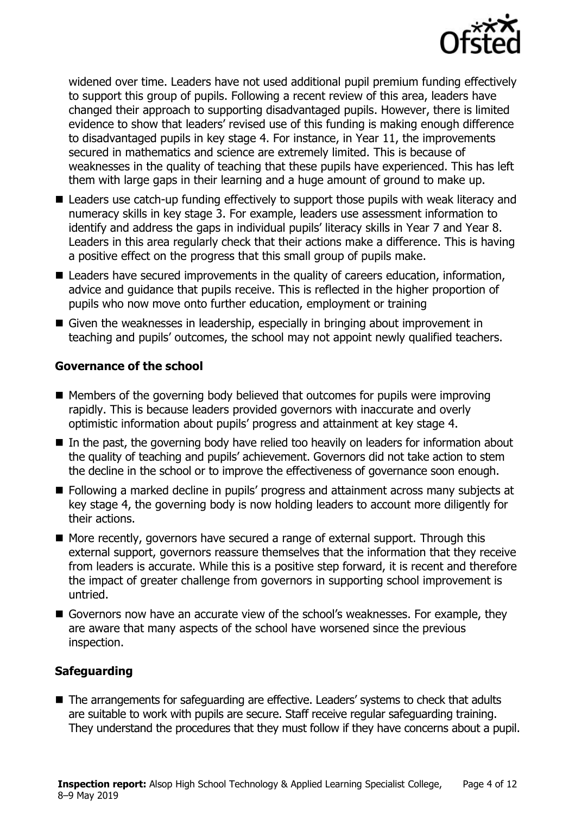

widened over time. Leaders have not used additional pupil premium funding effectively to support this group of pupils. Following a recent review of this area, leaders have changed their approach to supporting disadvantaged pupils. However, there is limited evidence to show that leaders' revised use of this funding is making enough difference to disadvantaged pupils in key stage 4. For instance, in Year 11, the improvements secured in mathematics and science are extremely limited. This is because of weaknesses in the quality of teaching that these pupils have experienced. This has left them with large gaps in their learning and a huge amount of ground to make up.

- Leaders use catch-up funding effectively to support those pupils with weak literacy and numeracy skills in key stage 3. For example, leaders use assessment information to identify and address the gaps in individual pupils' literacy skills in Year 7 and Year 8. Leaders in this area regularly check that their actions make a difference. This is having a positive effect on the progress that this small group of pupils make.
- Leaders have secured improvements in the quality of careers education, information, advice and guidance that pupils receive. This is reflected in the higher proportion of pupils who now move onto further education, employment or training
- Given the weaknesses in leadership, especially in bringing about improvement in teaching and pupils' outcomes, the school may not appoint newly qualified teachers.

### **Governance of the school**

- $\blacksquare$  Members of the governing body believed that outcomes for pupils were improving rapidly. This is because leaders provided governors with inaccurate and overly optimistic information about pupils' progress and attainment at key stage 4.
- In the past, the governing body have relied too heavily on leaders for information about the quality of teaching and pupils' achievement. Governors did not take action to stem the decline in the school or to improve the effectiveness of governance soon enough.
- **Following a marked decline in pupils' progress and attainment across many subjects at** key stage 4, the governing body is now holding leaders to account more diligently for their actions.
- More recently, governors have secured a range of external support. Through this external support, governors reassure themselves that the information that they receive from leaders is accurate. While this is a positive step forward, it is recent and therefore the impact of greater challenge from governors in supporting school improvement is untried.
- Governors now have an accurate view of the school's weaknesses. For example, they are aware that many aspects of the school have worsened since the previous inspection.

### **Safeguarding**

■ The arrangements for safeguarding are effective. Leaders' systems to check that adults are suitable to work with pupils are secure. Staff receive regular safeguarding training. They understand the procedures that they must follow if they have concerns about a pupil.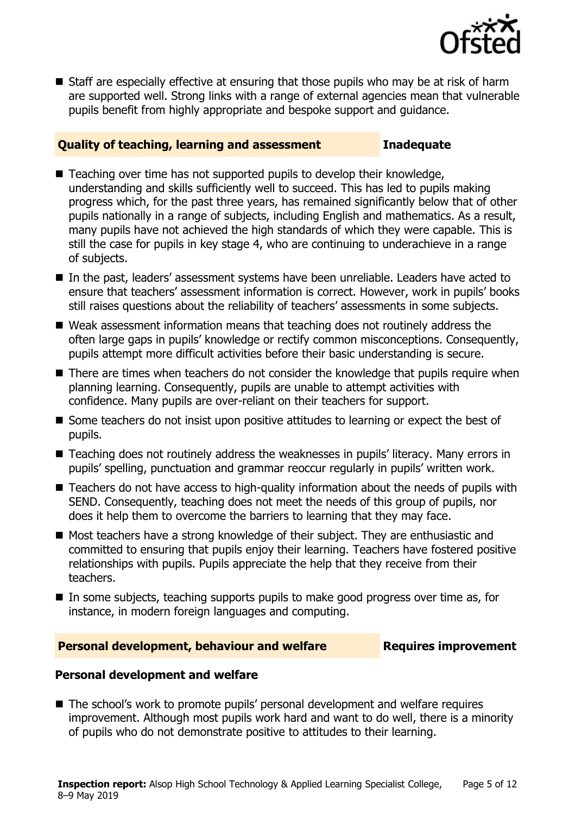

■ Staff are especially effective at ensuring that those pupils who may be at risk of harm are supported well. Strong links with a range of external agencies mean that vulnerable pupils benefit from highly appropriate and bespoke support and guidance.

#### **Quality of teaching, learning and assessment Inadequate**

- Teaching over time has not supported pupils to develop their knowledge, understanding and skills sufficiently well to succeed. This has led to pupils making progress which, for the past three years, has remained significantly below that of other pupils nationally in a range of subjects, including English and mathematics. As a result, many pupils have not achieved the high standards of which they were capable. This is still the case for pupils in key stage 4, who are continuing to underachieve in a range of subjects.
- In the past, leaders' assessment systems have been unreliable. Leaders have acted to ensure that teachers' assessment information is correct. However, work in pupils' books still raises questions about the reliability of teachers' assessments in some subjects.
- Weak assessment information means that teaching does not routinely address the often large gaps in pupils' knowledge or rectify common misconceptions. Consequently, pupils attempt more difficult activities before their basic understanding is secure.
- There are times when teachers do not consider the knowledge that pupils require when planning learning. Consequently, pupils are unable to attempt activities with confidence. Many pupils are over-reliant on their teachers for support.
- Some teachers do not insist upon positive attitudes to learning or expect the best of pupils.
- Teaching does not routinely address the weaknesses in pupils' literacy. Many errors in pupils' spelling, punctuation and grammar reoccur regularly in pupils' written work.
- Teachers do not have access to high-quality information about the needs of pupils with SEND. Consequently, teaching does not meet the needs of this group of pupils, nor does it help them to overcome the barriers to learning that they may face.
- Most teachers have a strong knowledge of their subject. They are enthusiastic and committed to ensuring that pupils enjoy their learning. Teachers have fostered positive relationships with pupils. Pupils appreciate the help that they receive from their teachers.
- $\blacksquare$  In some subjects, teaching supports pupils to make good progress over time as, for instance, in modern foreign languages and computing.

#### **Personal development, behaviour and welfare Fig. 2.1 Requires improvement**

### **Personal development and welfare**

■ The school's work to promote pupils' personal development and welfare requires improvement. Although most pupils work hard and want to do well, there is a minority of pupils who do not demonstrate positive to attitudes to their learning.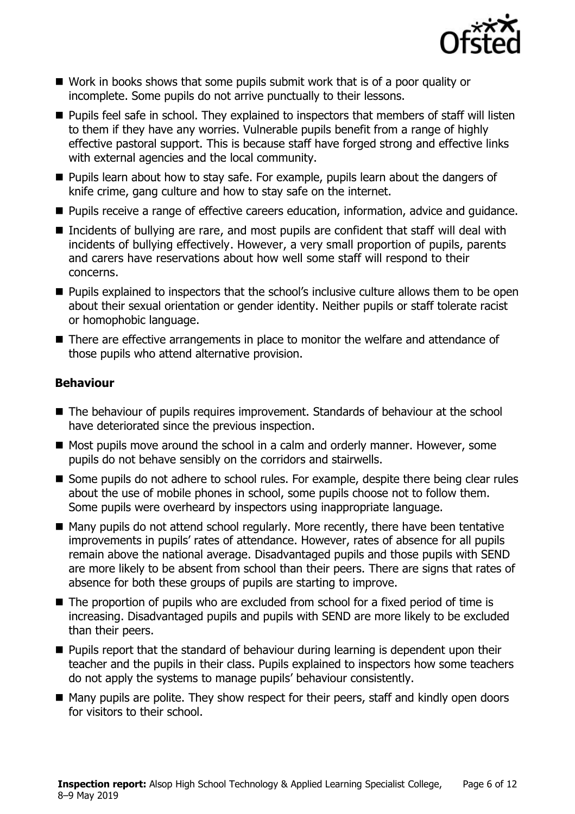

- Work in books shows that some pupils submit work that is of a poor quality or incomplete. Some pupils do not arrive punctually to their lessons.
- **Pupils feel safe in school. They explained to inspectors that members of staff will listen** to them if they have any worries. Vulnerable pupils benefit from a range of highly effective pastoral support. This is because staff have forged strong and effective links with external agencies and the local community.
- **Pupils learn about how to stay safe. For example, pupils learn about the dangers of** knife crime, gang culture and how to stay safe on the internet.
- **Pupils receive a range of effective careers education, information, advice and guidance.**
- Incidents of bullying are rare, and most pupils are confident that staff will deal with incidents of bullying effectively. However, a very small proportion of pupils, parents and carers have reservations about how well some staff will respond to their concerns.
- **Pupils explained to inspectors that the school's inclusive culture allows them to be open** about their sexual orientation or gender identity. Neither pupils or staff tolerate racist or homophobic language.
- There are effective arrangements in place to monitor the welfare and attendance of those pupils who attend alternative provision.

### **Behaviour**

- The behaviour of pupils requires improvement. Standards of behaviour at the school have deteriorated since the previous inspection.
- Most pupils move around the school in a calm and orderly manner. However, some pupils do not behave sensibly on the corridors and stairwells.
- Some pupils do not adhere to school rules. For example, despite there being clear rules about the use of mobile phones in school, some pupils choose not to follow them. Some pupils were overheard by inspectors using inappropriate language.
- Many pupils do not attend school regularly. More recently, there have been tentative improvements in pupils' rates of attendance. However, rates of absence for all pupils remain above the national average. Disadvantaged pupils and those pupils with SEND are more likely to be absent from school than their peers. There are signs that rates of absence for both these groups of pupils are starting to improve.
- The proportion of pupils who are excluded from school for a fixed period of time is increasing. Disadvantaged pupils and pupils with SEND are more likely to be excluded than their peers.
- **Pupils report that the standard of behaviour during learning is dependent upon their** teacher and the pupils in their class. Pupils explained to inspectors how some teachers do not apply the systems to manage pupils' behaviour consistently.
- Many pupils are polite. They show respect for their peers, staff and kindly open doors for visitors to their school.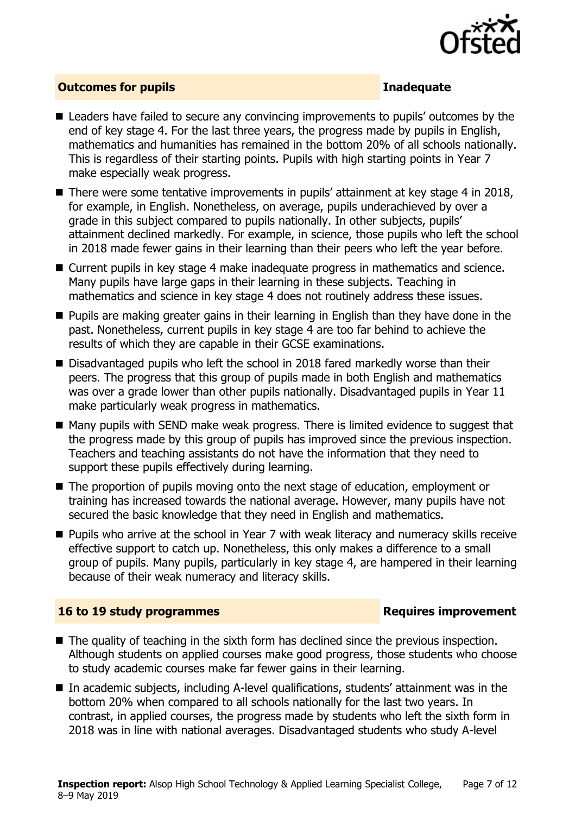

#### **Outcomes for pupils Inadequate**

- Leaders have failed to secure any convincing improvements to pupils' outcomes by the end of key stage 4. For the last three years, the progress made by pupils in English, mathematics and humanities has remained in the bottom 20% of all schools nationally. This is regardless of their starting points. Pupils with high starting points in Year 7 make especially weak progress.
- There were some tentative improvements in pupils' attainment at key stage 4 in 2018, for example, in English. Nonetheless, on average, pupils underachieved by over a grade in this subject compared to pupils nationally. In other subjects, pupils' attainment declined markedly. For example, in science, those pupils who left the school in 2018 made fewer gains in their learning than their peers who left the year before.
- Current pupils in key stage 4 make inadequate progress in mathematics and science. Many pupils have large gaps in their learning in these subjects. Teaching in mathematics and science in key stage 4 does not routinely address these issues.
- **Pupils are making greater gains in their learning in English than they have done in the** past. Nonetheless, current pupils in key stage 4 are too far behind to achieve the results of which they are capable in their GCSE examinations.
- Disadvantaged pupils who left the school in 2018 fared markedly worse than their peers. The progress that this group of pupils made in both English and mathematics was over a grade lower than other pupils nationally. Disadvantaged pupils in Year 11 make particularly weak progress in mathematics.
- Many pupils with SEND make weak progress. There is limited evidence to suggest that the progress made by this group of pupils has improved since the previous inspection. Teachers and teaching assistants do not have the information that they need to support these pupils effectively during learning.
- The proportion of pupils moving onto the next stage of education, employment or training has increased towards the national average. However, many pupils have not secured the basic knowledge that they need in English and mathematics.
- Pupils who arrive at the school in Year 7 with weak literacy and numeracy skills receive effective support to catch up. Nonetheless, this only makes a difference to a small group of pupils. Many pupils, particularly in key stage 4, are hampered in their learning because of their weak numeracy and literacy skills.

### **16 to 19 study programmes Requires improvement**

- The quality of teaching in the sixth form has declined since the previous inspection. Although students on applied courses make good progress, those students who choose to study academic courses make far fewer gains in their learning.
- In academic subjects, including A-level qualifications, students' attainment was in the bottom 20% when compared to all schools nationally for the last two years. In contrast, in applied courses, the progress made by students who left the sixth form in 2018 was in line with national averages. Disadvantaged students who study A-level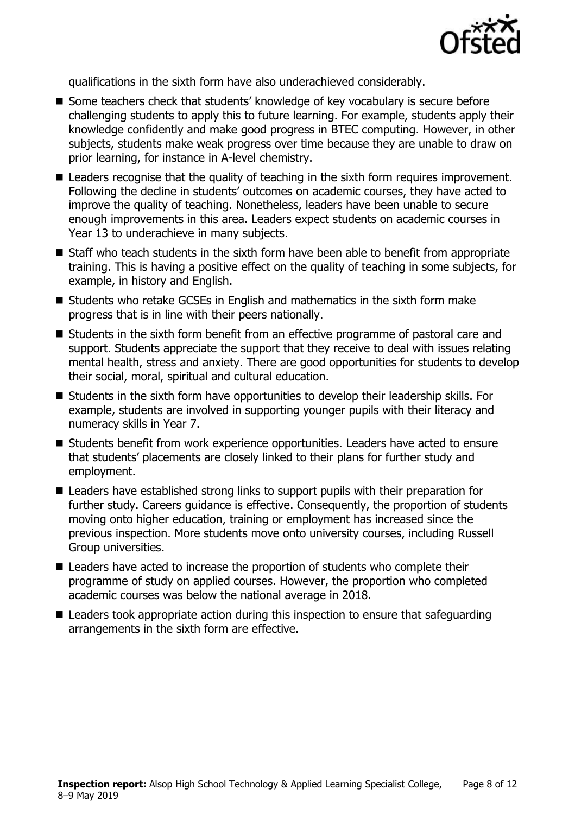

qualifications in the sixth form have also underachieved considerably.

- Some teachers check that students' knowledge of key vocabulary is secure before challenging students to apply this to future learning. For example, students apply their knowledge confidently and make good progress in BTEC computing. However, in other subjects, students make weak progress over time because they are unable to draw on prior learning, for instance in A-level chemistry.
- Leaders recognise that the quality of teaching in the sixth form requires improvement. Following the decline in students' outcomes on academic courses, they have acted to improve the quality of teaching. Nonetheless, leaders have been unable to secure enough improvements in this area. Leaders expect students on academic courses in Year 13 to underachieve in many subjects.
- Staff who teach students in the sixth form have been able to benefit from appropriate training. This is having a positive effect on the quality of teaching in some subjects, for example, in history and English.
- Students who retake GCSEs in English and mathematics in the sixth form make progress that is in line with their peers nationally.
- Students in the sixth form benefit from an effective programme of pastoral care and support. Students appreciate the support that they receive to deal with issues relating mental health, stress and anxiety. There are good opportunities for students to develop their social, moral, spiritual and cultural education.
- Students in the sixth form have opportunities to develop their leadership skills. For example, students are involved in supporting younger pupils with their literacy and numeracy skills in Year 7.
- Students benefit from work experience opportunities. Leaders have acted to ensure that students' placements are closely linked to their plans for further study and employment.
- Leaders have established strong links to support pupils with their preparation for further study. Careers guidance is effective. Consequently, the proportion of students moving onto higher education, training or employment has increased since the previous inspection. More students move onto university courses, including Russell Group universities.
- Leaders have acted to increase the proportion of students who complete their programme of study on applied courses. However, the proportion who completed academic courses was below the national average in 2018.
- Leaders took appropriate action during this inspection to ensure that safeguarding arrangements in the sixth form are effective.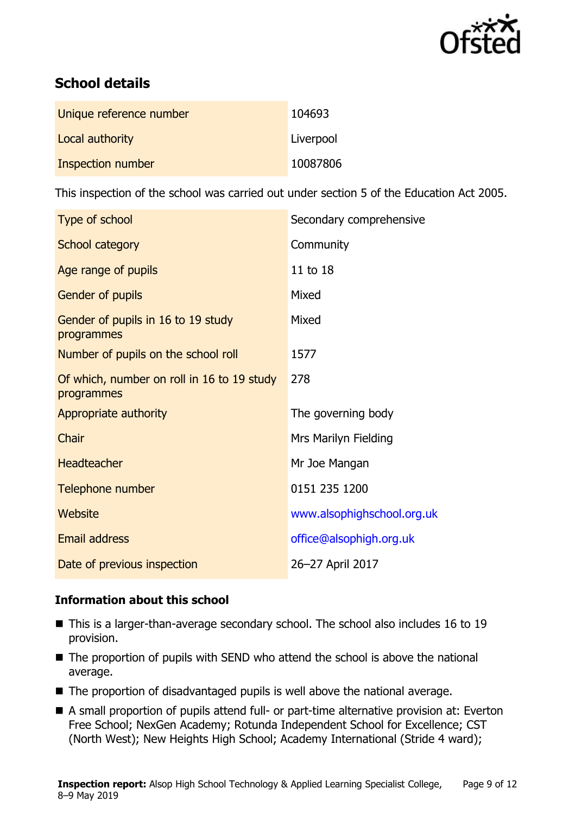

# **School details**

| Unique reference number | 104693    |
|-------------------------|-----------|
| Local authority         | Liverpool |
| Inspection number       | 10087806  |

This inspection of the school was carried out under section 5 of the Education Act 2005.

| Type of school                                           | Secondary comprehensive    |
|----------------------------------------------------------|----------------------------|
| School category                                          | Community                  |
| Age range of pupils                                      | 11 to 18                   |
| <b>Gender of pupils</b>                                  | Mixed                      |
| Gender of pupils in 16 to 19 study<br>programmes         | Mixed                      |
| Number of pupils on the school roll                      | 1577                       |
| Of which, number on roll in 16 to 19 study<br>programmes | 278                        |
| Appropriate authority                                    | The governing body         |
| Chair                                                    | Mrs Marilyn Fielding       |
| <b>Headteacher</b>                                       | Mr Joe Mangan              |
| Telephone number                                         | 0151 235 1200              |
| <b>Website</b>                                           | www.alsophighschool.org.uk |
| Email address                                            | office@alsophigh.org.uk    |
| Date of previous inspection                              | 26-27 April 2017           |

### **Information about this school**

- This is a larger-than-average secondary school. The school also includes 16 to 19 provision.
- $\blacksquare$  The proportion of pupils with SEND who attend the school is above the national average.
- The proportion of disadvantaged pupils is well above the national average.
- A small proportion of pupils attend full- or part-time alternative provision at: Everton Free School; NexGen Academy; Rotunda Independent School for Excellence; CST (North West); New Heights High School; Academy International (Stride 4 ward);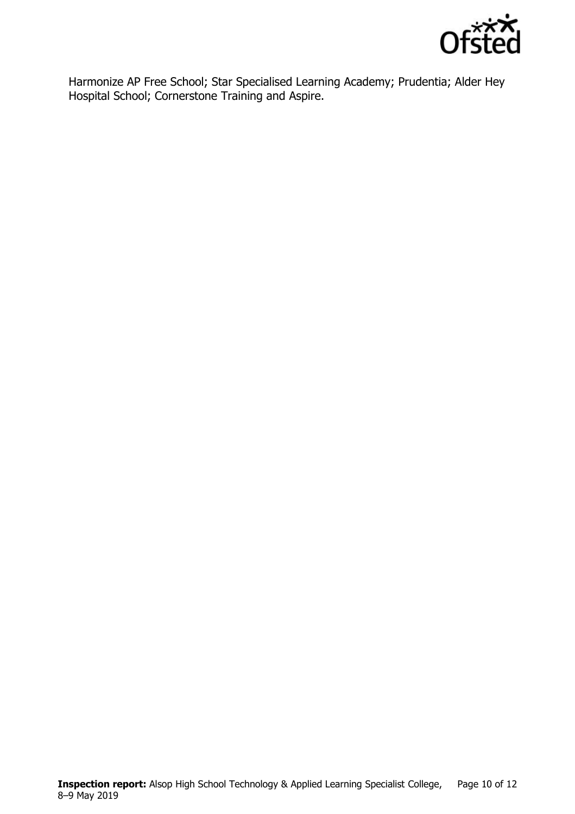

Harmonize AP Free School; Star Specialised Learning Academy; Prudentia; Alder Hey Hospital School; Cornerstone Training and Aspire.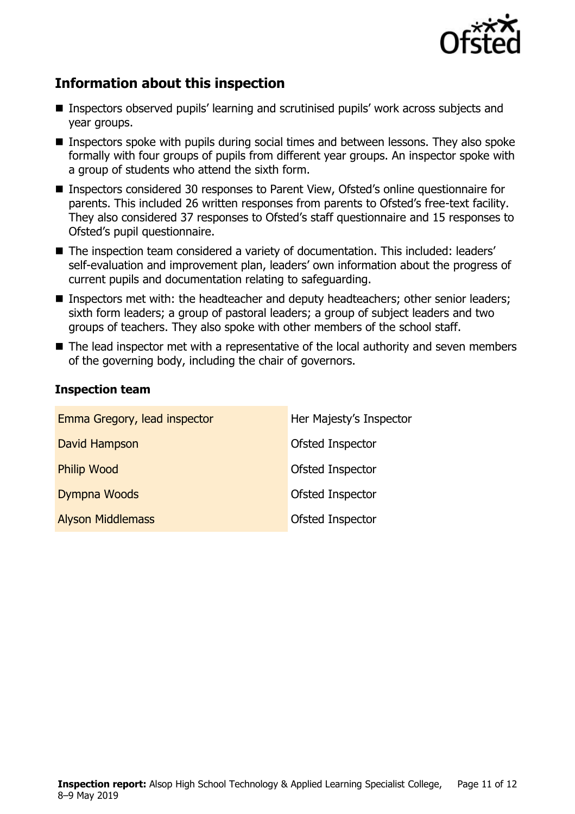

# **Information about this inspection**

- Inspectors observed pupils' learning and scrutinised pupils' work across subjects and year groups.
- Inspectors spoke with pupils during social times and between lessons. They also spoke formally with four groups of pupils from different year groups. An inspector spoke with a group of students who attend the sixth form.
- Inspectors considered 30 responses to Parent View, Ofsted's online questionnaire for parents. This included 26 written responses from parents to Ofsted's free-text facility. They also considered 37 responses to Ofsted's staff questionnaire and 15 responses to Ofsted's pupil questionnaire.
- The inspection team considered a variety of documentation. This included: leaders' self-evaluation and improvement plan, leaders' own information about the progress of current pupils and documentation relating to safeguarding.
- Inspectors met with: the headteacher and deputy headteachers; other senior leaders; sixth form leaders; a group of pastoral leaders; a group of subject leaders and two groups of teachers. They also spoke with other members of the school staff.
- The lead inspector met with a representative of the local authority and seven members of the governing body, including the chair of governors.

### **Inspection team**

| Emma Gregory, lead inspector | Her Majesty's Inspector |
|------------------------------|-------------------------|
| David Hampson                | Ofsted Inspector        |
| <b>Philip Wood</b>           | Ofsted Inspector        |
| Dympna Woods                 | Ofsted Inspector        |
| <b>Alyson Middlemass</b>     | Ofsted Inspector        |